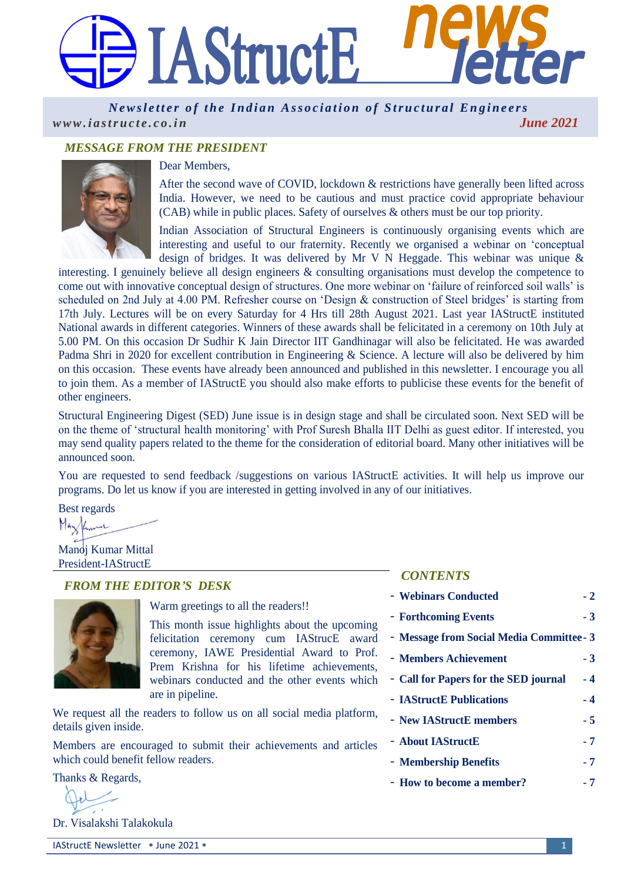# **JAStructE Indian Association of Structural Engineers**

*Newsletter of the Indian Association of Structural Engineers [w w w . i a s t r u c t e . c o . i n](http://www.iastructe.co.in/) June 2021*

# *MESSAGE FROM THE PRESIDENT*



#### Dear Members,

After the second wave of COVID, lockdown & restrictions have generally been lifted across India. However, we need to be cautious and must practice covid appropriate behaviour (CAB) while in public places. Safety of ourselves & others must be our top priority.

Indian Association of Structural Engineers is continuously organising events which are interesting and useful to our fraternity. Recently we organised a webinar on 'conceptual design of bridges. It was delivered by Mr V N Heggade. This webinar was unique &

interesting. I genuinely believe all design engineers & consulting organisations must develop the competence to come out with innovative conceptual design of structures. One more webinar on 'failure of reinforced soil walls' is scheduled on 2nd July at 4.00 PM. Refresher course on 'Design & construction of Steel bridges' is starting from 17th July. Lectures will be on every Saturday for 4 Hrs till 28th August 2021. Last year IAStructE instituted National awards in different categories. Winners of these awards shall be felicitated in a ceremony on 10th July at 5.00 PM. On this occasion Dr Sudhir K Jain Director IIT Gandhinagar will also be felicitated. He was awarded Padma Shri in 2020 for excellent contribution in Engineering & Science. A lecture will also be delivered by him on this occasion. These events have already been announced and published in this newsletter. I encourage you all to join them. As a member of IAStructE you should also make efforts to publicise these events for the benefit of other engineers.

Structural Engineering Digest (SED) June issue is in design stage and shall be circulated soon. Next SED will be on the theme of 'structural health monitoring' with Prof Suresh Bhalla IIT Delhi as guest editor. If interested, you may send quality papers related to the theme for the consideration of editorial board. Many other initiatives will be announced soon.

You are requested to send feedback /suggestions on various IAStructE activities. It will help us improve our programs. Do let us know if you are interested in getting involved in any of our initiatives.

Best regards

Maylime

Manoj Kumar Mittal President-IAStructE

## *FROM THE EDITOR'S DESK*



Warm greetings to all the readers!!

This month issue highlights about the upcoming felicitation ceremony cum IAStrucE award ceremony, IAWE Presidential Award to Prof. Prem Krishna for his lifetime achievements, webinars conducted and the other events which are in pipeline.

We request all the readers to follow us on all social media platform, details given inside.

Members are encouraged to submit their achievements and articles which could benefit fellow readers.

Thanks & Regards,

Dr. Visalakshi Talakokula

#### *CONTENTS*

- **Webinars Conducted - 2**
- **Forthcoming Events - 3**
- **Message from Social Media Committee- 3**
- **Members Achievement - 3**
- **Call for Papers for the SED journal - 4**
- **IAStructE Publications - 4**
- **New IAStructE members - 5**
- **About IAStructE - 7**
- **Membership Benefits - 7**
- **How to become a member? - 7**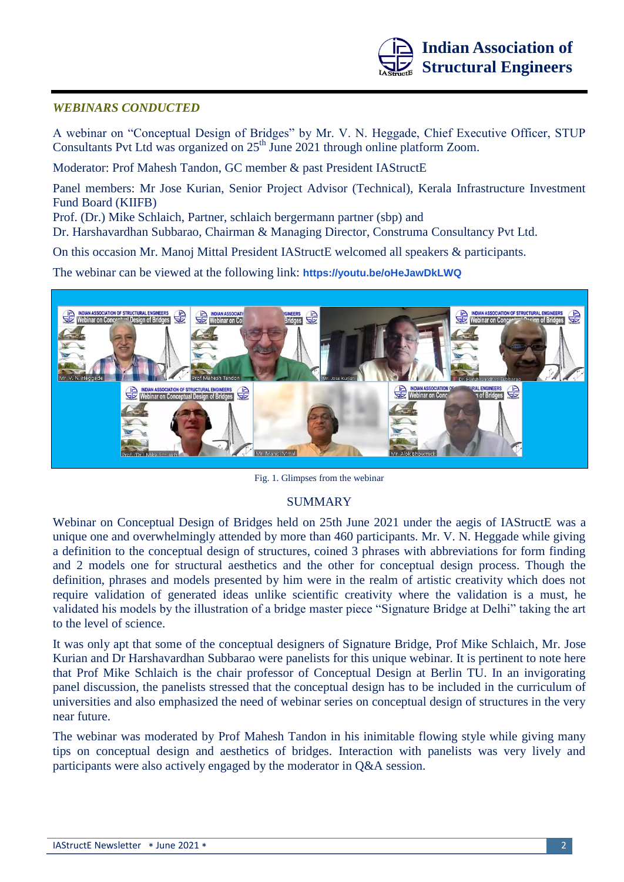

## *WEBINARS CONDUCTED*

A webinar on "Conceptual Design of Bridges" by Mr. V. N. Heggade, Chief Executive Officer, STUP Consultants Pvt Ltd was organized on  $25<sup>th</sup>$  June 2021 through online platform Zoom.

Moderator: Prof Mahesh Tandon, GC member & past President IAStructE

Panel members: Mr Jose Kurian, Senior Project Advisor (Technical), Kerala Infrastructure Investment Fund Board (KIIFB)

Prof. (Dr.) Mike Schlaich, Partner, schlaich bergermann partner (sbp) and

Dr. Harshavardhan Subbarao, Chairman & Managing Director, Construma Consultancy Pvt Ltd.

On this occasion Mr. Manoj Mittal President IAStructE welcomed all speakers & participants.

The webinar can be viewed at the following link: **<https://youtu.be/oHeJawDkLWQ>**



Fig. 1. Glimpses from the webinar

# SUMMARY

Webinar on Conceptual Design of Bridges held on 25th June 2021 under the aegis of IAStructE was a unique one and overwhelmingly attended by more than 460 participants. Mr. V. N. Heggade while giving a definition to the conceptual design of structures, coined 3 phrases with abbreviations for form finding and 2 models one for structural aesthetics and the other for conceptual design process. Though the definition, phrases and models presented by him were in the realm of artistic creativity which does not require validation of generated ideas unlike scientific creativity where the validation is a must, he validated his models by the illustration of a bridge master piece "Signature Bridge at Delhi" taking the art to the level of science.

It was only apt that some of the conceptual designers of Signature Bridge, Prof Mike Schlaich, Mr. Jose Kurian and Dr Harshavardhan Subbarao were panelists for this unique webinar. It is pertinent to note here that Prof Mike Schlaich is the chair professor of Conceptual Design at Berlin TU. In an invigorating panel discussion, the panelists stressed that the conceptual design has to be included in the curriculum of universities and also emphasized the need of webinar series on conceptual design of structures in the very near future.

The webinar was moderated by Prof Mahesh Tandon in his inimitable flowing style while giving many tips on conceptual design and aesthetics of bridges. Interaction with panelists was very lively and participants were also actively engaged by the moderator in Q&A session.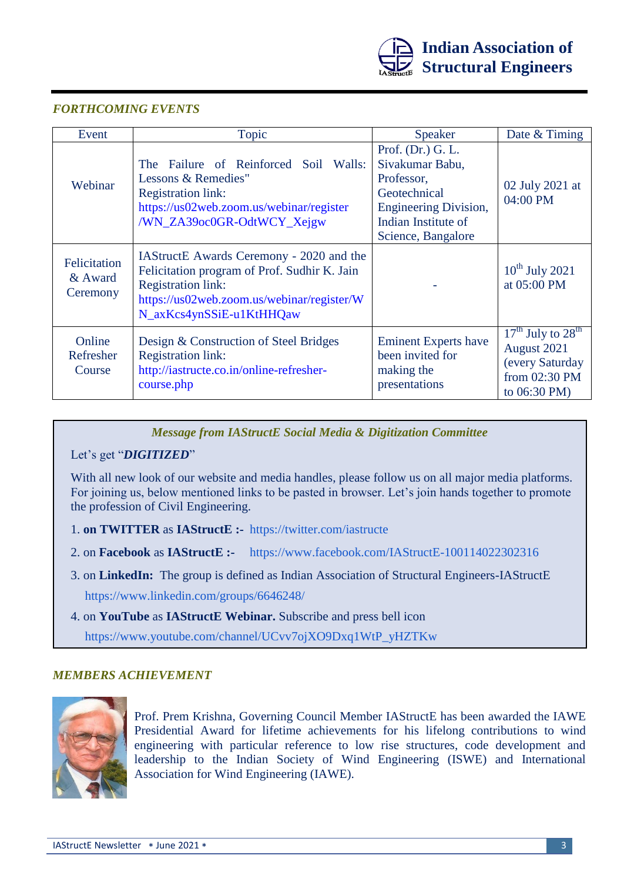![](_page_2_Picture_0.jpeg)

## *FORTHCOMING EVENTS*

| Event                               | Topic                                                                                                                                                                                           | <b>Speaker</b>                                                                                                                                  | Date & Timing                                                                            |
|-------------------------------------|-------------------------------------------------------------------------------------------------------------------------------------------------------------------------------------------------|-------------------------------------------------------------------------------------------------------------------------------------------------|------------------------------------------------------------------------------------------|
| Webinar                             | The Failure of Reinforced Soil Walls:<br>Lessons & Remedies"<br><b>Registration link:</b><br>https://us02web.zoom.us/webinar/register<br>/WN_ZA39oc0GR-OdtWCY_Xejgw                             | Prof. (Dr.) G. L.<br>Sivakumar Babu,<br>Professor,<br>Geotechnical<br><b>Engineering Division,</b><br>Indian Institute of<br>Science, Bangalore | 02 July 2021 at<br>04:00 PM                                                              |
| Felicitation<br>& Award<br>Ceremony | IAStructE Awards Ceremony - 2020 and the<br>Felicitation program of Prof. Sudhir K. Jain<br><b>Registration link:</b><br>https://us02web.zoom.us/webinar/register/W<br>N_axKcs4ynSSiE-u1KtHHQaw |                                                                                                                                                 | $10^{th}$ July 2021<br>at 05:00 PM                                                       |
| Online<br>Refresher<br>Course       | Design & Construction of Steel Bridges<br><b>Registration link:</b><br>http://iastructe.co.in/online-refresher-<br>course.php                                                                   | <b>Eminent Experts have</b><br>been invited for<br>making the<br>presentations                                                                  | $17th$ July to $28th$<br>August 2021<br>(every Saturday<br>from 02:30 PM<br>to 06:30 PM) |

*Message from IAStructE Social Media & Digitization Committee*

Let's get "*DIGITIZED*"

With all new look of our website and media handles, please follow us on all major media platforms. For joining us, below mentioned links to be pasted in browser. Let's join hands together to promote the profession of Civil Engineering.

- 1. **on TWITTER** as **IAStructE :-** <https://twitter.com/iastructe>
- 2. on **Facebook** as **IAStructE :-** <https://www.facebook.com/IAStructE-100114022302316>
- 3. on **LinkedIn:** The group is defined as Indian Association of Structural Engineers-IAStructE <https://www.linkedin.com/groups/6646248/>
- 4. on **YouTube** as **IAStructE Webinar.** Subscribe and press bell icon [https://www.youtube.com/channel/UCvv7ojXO9Dxq1WtP\\_yHZTKw](https://www.youtube.com/channel/UCvv7ojXO9Dxq1WtP_yHZTKw)

## *MEMBERS ACHIEVEMENT*

![](_page_2_Picture_11.jpeg)

Prof. Prem Krishna, Governing Council Member IAStructE has been awarded the IAWE Presidential Award for lifetime achievements for his lifelong contributions to wind engineering with particular reference to low rise structures, code development and leadership to the Indian Society of Wind Engineering (ISWE) and International Association for Wind Engineering (IAWE).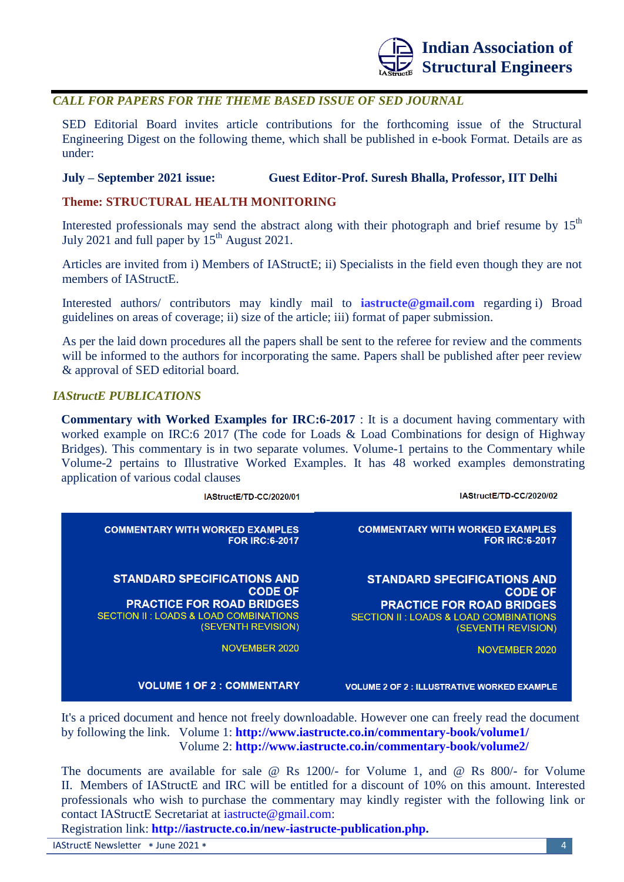![](_page_3_Picture_0.jpeg)

## *CALL FOR PAPERS FOR THE THEME BASED ISSUE OF SED JOURNAL*

SED Editorial Board invites article contributions for the forthcoming issue of the Structural Engineering Digest on the following theme, which shall be published in e-book Format. Details are as under:

### **July – September 2021 issue: Guest Editor-Prof. Suresh Bhalla, Professor, IIT Delhi**

#### **Theme: STRUCTURAL HEALTH MONITORING**

Interested professionals may send the abstract along with their photograph and brief resume by  $15<sup>th</sup>$ July 2021 and full paper by  $15<sup>th</sup>$  August 2021.

Articles are invited from i) Members of IAStructE; ii) Specialists in the field even though they are not members of IAStructE.

Interested authors/ contributors may kindly mail to **[iastructe@gmail.com](mailto:iastructe@gmail.com)** regarding i) Broad guidelines on areas of coverage; ii) size of the article; iii) format of paper submission.

As per the laid down procedures all the papers shall be sent to the referee for review and the comments will be informed to the authors for incorporating the same. Papers shall be published after peer review & approval of SED editorial board.

## *IAStructE PUBLICATIONS*

**Commentary with Worked Examples for IRC:6-2017** : It is a document having commentary with worked example on IRC:6 2017 (The code for Loads & Load Combinations for design of Highway Bridges). This commentary is in two separate volumes. Volume-1 pertains to the Commentary while Volume-2 pertains to Illustrative Worked Examples. It has 48 worked examples demonstrating application of various codal clauses

| IAStructE/TD-CC/2020/01                | IAStructE/TD-CC/2020/02                            |
|----------------------------------------|----------------------------------------------------|
| <b>COMMENTARY WITH WORKED EXAMPLES</b> | <b>COMMENTARY WITH WORKED EXAMPLES</b>             |
| <b>FOR IRC:6-2017</b>                  | <b>FOR IRC:6-2017</b>                              |
| <b>STANDARD SPECIFICATIONS AND</b>     | <b>STANDARD SPECIFICATIONS AND</b>                 |
| <b>CODE OF</b>                         | <b>CODE OF</b>                                     |
| <b>PRACTICE FOR ROAD BRIDGES</b>       | <b>PRACTICE FOR ROAD BRIDGES</b>                   |
| SECTION II: LOADS & LOAD COMBINATIONS  | <b>SECTION II: LOADS &amp; LOAD COMBINATIONS</b>   |
| (SEVENTH REVISION)                     | (SEVENTH REVISION)                                 |
| NOVEMBER 2020                          | <b>NOVEMBER 2020</b>                               |
| <b>VOLUME 1 OF 2 : COMMENTARY</b>      | <b>VOLUME 2 OF 2 : ILLUSTRATIVE WORKED EXAMPLE</b> |

It's a priced document and hence not freely downloadable. However one can freely read the document by following the link. Volume 1: **<http://www.iastructe.co.in/commentary-book/volume1/>** Volume 2: **<http://www.iastructe.co.in/commentary-book/volume2/>**

The documents are available for sale @ Rs 1200/- for Volume 1, and @ Rs 800/- for Volume II. Members of IAStructE and IRC will be entitled for a discount of 10% on this amount. Interested professionals who wish to purchase the commentary may kindly register with the following link or contact IAStructE Secretariat at [iastructe@gmail.com:](mailto:iastructe@gmail.com)

Registration link: **[http://iastructe.co.in/new-iastructe-publication.php.](http://iastructe.co.in/new-iastructe-publication.php)**

IAStructE Newsletter \* June 2021 \* 4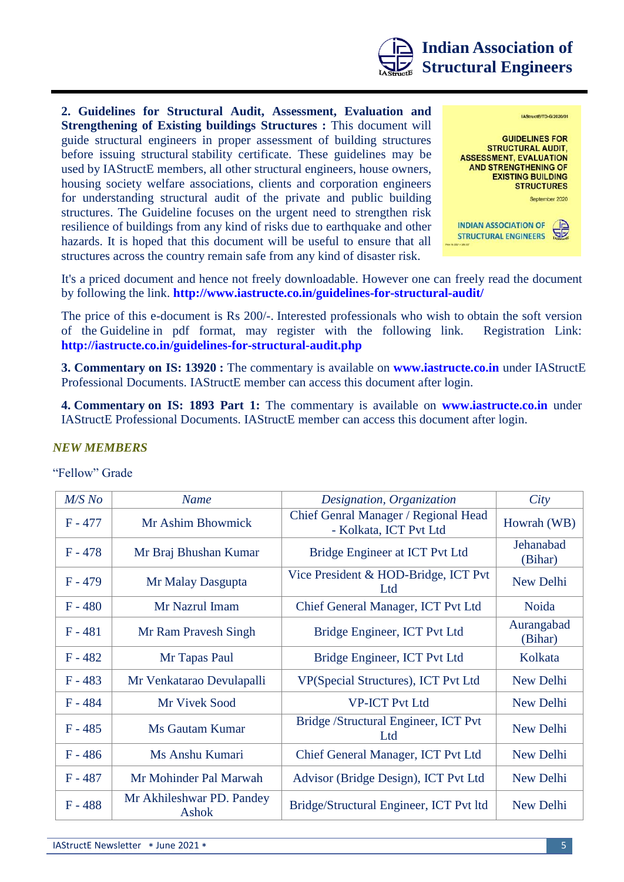![](_page_4_Picture_0.jpeg)

**2. Guidelines for Structural Audit, Assessment, Evaluation and Strengthening of Existing buildings Structures :** This document will guide structural engineers in proper assessment of building structures before issuing structural stability certificate. These guidelines may be used by IAStructE members, all other structural engineers, house owners, housing society welfare associations, clients and corporation engineers for understanding structural audit of the private and public building structures. The Guideline focuses on the urgent need to strengthen risk resilience of buildings from any kind of risks due to earthquake and other hazards. It is hoped that this document will be useful to ensure that all structures across the country remain safe from any kind of disaster risk.

![](_page_4_Picture_2.jpeg)

It's a priced document and hence not freely downloadable. However one can freely read the document by following the link. **<http://www.iastructe.co.in/guidelines-for-structural-audit/>**

The price of this e-document is Rs 200/-. Interested professionals who wish to obtain the soft version of the Guideline in pdf format, may register with the following link. Registration Link: **<http://iastructe.co.in/guidelines-for-structural-audit.php>**

**3. Commentary on IS: 13920 :** The commentary is available on **[www.iastructe.co.in](http://www.iastructe.co.in/)** under IAStructE Professional Documents. IAStructE member can access this document after login.

**4. Commentary on IS: 1893 Part 1:** The commentary is available on **[www.iastructe.co.in](http://www.iastructe.co.in/)** under IAStructE Professional Documents. IAStructE member can access this document after login.

## *NEW MEMBERS*

#### "Fellow" Grade

| $M/S$ No  | <b>Name</b>                        | Designation, Organization                                      | City                  |
|-----------|------------------------------------|----------------------------------------------------------------|-----------------------|
| $F - 477$ | Mr Ashim Bhowmick                  | Chief Genral Manager / Regional Head<br>- Kolkata, ICT Pvt Ltd | Howrah (WB)           |
| $F - 478$ | Mr Braj Bhushan Kumar              | Bridge Engineer at ICT Pvt Ltd                                 | Jehanabad<br>(Bihar)  |
| $F - 479$ | Mr Malay Dasgupta                  | Vice President & HOD-Bridge, ICT Pvt<br>Ltd                    | New Delhi             |
| $F - 480$ | Mr Nazrul Imam                     | Chief General Manager, ICT Pvt Ltd                             | Noida                 |
| $F - 481$ | Mr Ram Pravesh Singh               | Bridge Engineer, ICT Pvt Ltd                                   | Aurangabad<br>(Bihar) |
| $F - 482$ | Mr Tapas Paul                      | Bridge Engineer, ICT Pvt Ltd                                   | Kolkata               |
| $F - 483$ | Mr Venkatarao Devulapalli          | VP(Special Structures), ICT Pvt Ltd                            | New Delhi             |
| $F - 484$ | Mr Vivek Sood                      | <b>VP-ICT Pvt Ltd</b>                                          | New Delhi             |
| $F - 485$ | Ms Gautam Kumar                    | Bridge /Structural Engineer, ICT Pvt<br>Ltd                    | New Delhi             |
| $F - 486$ | Ms Anshu Kumari                    | Chief General Manager, ICT Pvt Ltd                             | New Delhi             |
| $F - 487$ | Mr Mohinder Pal Marwah             | Advisor (Bridge Design), ICT Pvt Ltd                           | New Delhi             |
| $F - 488$ | Mr Akhileshwar PD. Pandey<br>Ashok | Bridge/Structural Engineer, ICT Pvt ltd                        | New Delhi             |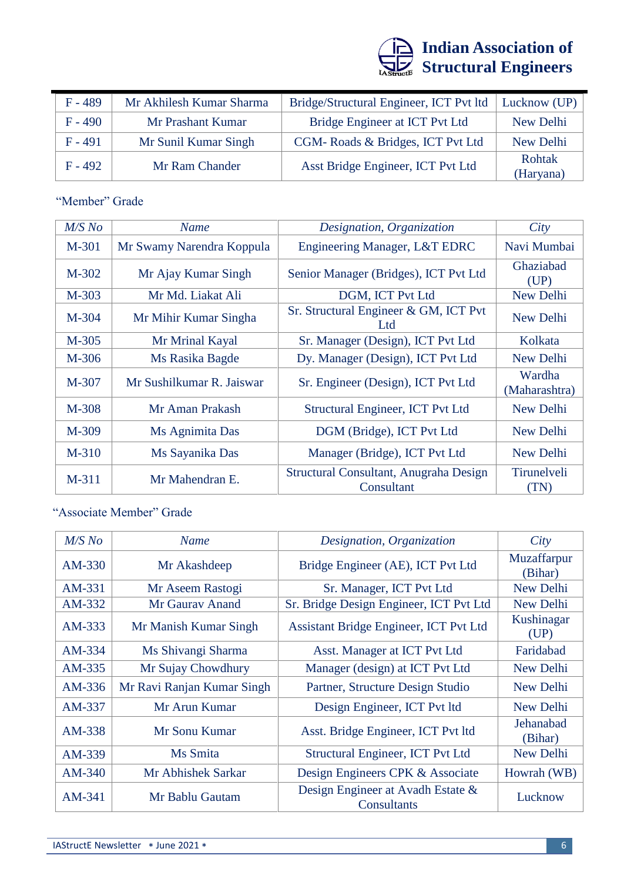![](_page_5_Picture_0.jpeg)

| $F - 489$ | Mr Akhilesh Kumar Sharma | Bridge/Structural Engineer, ICT Pvt ltd | Lucknow (UP)        |
|-----------|--------------------------|-----------------------------------------|---------------------|
| $F - 490$ | Mr Prashant Kumar        | Bridge Engineer at ICT Pvt Ltd          | New Delhi           |
| $F - 491$ | Mr Sunil Kumar Singh     | CGM-Roads & Bridges, ICT Pvt Ltd        | New Delhi           |
| $F - 492$ | Mr Ram Chander           | Asst Bridge Engineer, ICT Pvt Ltd       | Rohtak<br>(Haryana) |

# "Member" Grade

| $M/S$ No | <b>Name</b>               | Designation, Organization                            | City                    |
|----------|---------------------------|------------------------------------------------------|-------------------------|
| M-301    | Mr Swamy Narendra Koppula | Engineering Manager, L&T EDRC                        | Navi Mumbai             |
| M-302    | Mr Ajay Kumar Singh       | Senior Manager (Bridges), ICT Pvt Ltd                | Ghaziabad<br>(UP)       |
| M-303    | Mr Md. Liakat Ali         | DGM, ICT Pvt Ltd                                     | New Delhi               |
| M-304    | Mr Mihir Kumar Singha     | Sr. Structural Engineer & GM, ICT Pvt<br>Ltd         | New Delhi               |
| M-305    | Mr Mrinal Kayal           | Sr. Manager (Design), ICT Pvt Ltd                    | Kolkata                 |
| M-306    | Ms Rasika Bagde           | Dy. Manager (Design), ICT Pvt Ltd                    | New Delhi               |
| M-307    | Mr Sushilkumar R. Jaiswar | Sr. Engineer (Design), ICT Pvt Ltd                   | Wardha<br>(Maharashtra) |
| M-308    | Mr Aman Prakash           | Structural Engineer, ICT Pvt Ltd                     | New Delhi               |
| M-309    | Ms Agnimita Das           | DGM (Bridge), ICT Pvt Ltd                            | New Delhi               |
| $M-310$  | Ms Sayanika Das           | Manager (Bridge), ICT Pvt Ltd                        | New Delhi               |
| M-311    | Mr Mahendran E.           | Structural Consultant, Anugraha Design<br>Consultant | Tirunelveli<br>(TN)     |

"Associate Member" Grade

| $M/S$ No | <b>Name</b>                | Designation, Organization                        | City                   |
|----------|----------------------------|--------------------------------------------------|------------------------|
| AM-330   | Mr Akashdeep               | Bridge Engineer (AE), ICT Pvt Ltd                | Muzaffarpur<br>(Bihar) |
| AM-331   | Mr Aseem Rastogi           | Sr. Manager, ICT Pvt Ltd                         | New Delhi              |
| AM-332   | Mr Gauray Anand            | Sr. Bridge Design Engineer, ICT Pvt Ltd          | New Delhi              |
| AM-333   | Mr Manish Kumar Singh      | Assistant Bridge Engineer, ICT Pvt Ltd           | Kushinagar<br>(UP)     |
| AM-334   | Ms Shivangi Sharma         | Asst. Manager at ICT Pvt Ltd                     | Faridabad              |
| AM-335   | Mr Sujay Chowdhury         | Manager (design) at ICT Pvt Ltd                  | New Delhi              |
| AM-336   | Mr Ravi Ranjan Kumar Singh | Partner, Structure Design Studio                 | New Delhi              |
| AM-337   | Mr Arun Kumar              | Design Engineer, ICT Pvt ltd                     | New Delhi              |
| AM-338   | Mr Sonu Kumar              | Asst. Bridge Engineer, ICT Pvt ltd               | Jehanabad<br>(Bihar)   |
| AM-339   | Ms Smita                   | Structural Engineer, ICT Pvt Ltd                 | New Delhi              |
| $AM-340$ | Mr Abhishek Sarkar         | Design Engineers CPK & Associate                 | Howrah (WB)            |
| AM-341   | Mr Bablu Gautam            | Design Engineer at Avadh Estate &<br>Consultants | Lucknow                |